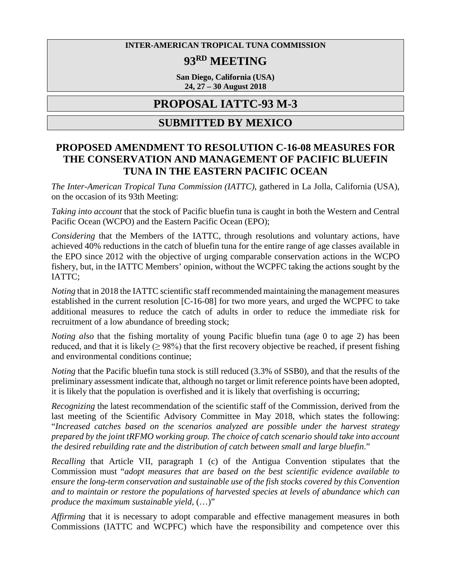#### **INTER-AMERICAN TROPICAL TUNA COMMISSION**

# **93RD MEETING**

**San Diego, California (USA) 24, 27 – 30 August 2018**

## **PROPOSAL IATTC-93 M-3**

### **SUBMITTED BY MEXICO**

### **PROPOSED AMENDMENT TO RESOLUTION C-16-08 MEASURES FOR THE CONSERVATION AND MANAGEMENT OF PACIFIC BLUEFIN TUNA IN THE EASTERN PACIFIC OCEAN**

*The Inter-American Tropical Tuna Commission (IATTC)*, gathered in La Jolla, California (USA), on the occasion of its 93th Meeting:

*Taking into account* that the stock of Pacific bluefin tuna is caught in both the Western and Central Pacific Ocean (WCPO) and the Eastern Pacific Ocean (EPO);

*Considering* that the Members of the IATTC, through resolutions and voluntary actions, have achieved 40% reductions in the catch of bluefin tuna for the entire range of age classes available in the EPO since 2012 with the objective of urging comparable conservation actions in the WCPO fishery, but, in the IATTC Members' opinion, without the WCPFC taking the actions sought by the IATTC;

*Noting* that in 2018 the IATTC scientific staff recommended maintaining the management measures established in the current resolution [C-16-08] for two more years, and urged the WCPFC to take additional measures to reduce the catch of adults in order to reduce the immediate risk for recruitment of a low abundance of breeding stock;

*Noting also* that the fishing mortality of young Pacific bluefin tuna (age 0 to age 2) has been reduced, and that it is likely  $(≥ 98%)$  that the first recovery objective be reached, if present fishing and environmental conditions continue;

*Noting* that the Pacific bluefin tuna stock is still reduced (3.3% of SSB0), and that the results of the preliminary assessment indicate that, although no target or limit reference points have been adopted, it is likely that the population is overfished and it is likely that overfishing is occurring;

*Recognizing* the latest recommendation of the scientific staff of the Commission, derived from the last meeting of the Scientific Advisory Committee in May 2018, which states the following: "*Increased catches based on the scenarios analyzed are possible under the harvest strategy prepared by the joint tRFMO working group. The choice of catch scenario should take into account the desired rebuilding rate and the distribution of catch between small and large bluefin*."

*Recalling* that Article VII, paragraph 1 (c) of the Antigua Convention stipulates that the Commission must "*adopt measures that are based on the best scientific evidence available to ensure the long-term conservation and sustainable use of the fish stocks covered by this Convention and to maintain or restore the populations of harvested species at levels of abundance which can produce the maximum sustainable yield*, (…)"

*Affirming* that it is necessary to adopt comparable and effective management measures in both Commissions (IATTC and WCPFC) which have the responsibility and competence over this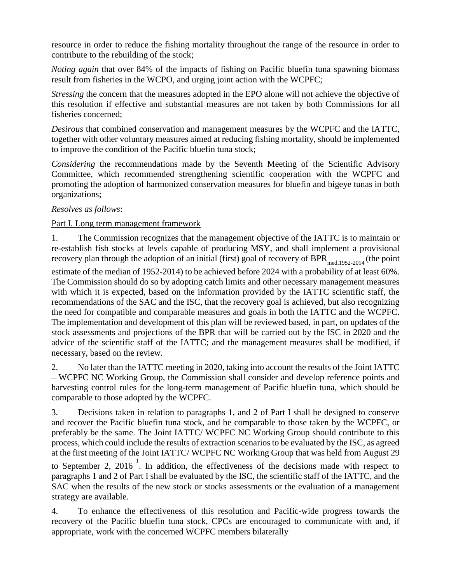resource in order to reduce the fishing mortality throughout the range of the resource in order to contribute to the rebuilding of the stock;

*Noting again* that over 84% of the impacts of fishing on Pacific bluefin tuna spawning biomass result from fisheries in the WCPO, and urging joint action with the WCPFC;

*Stressing* the concern that the measures adopted in the EPO alone will not achieve the objective of this resolution if effective and substantial measures are not taken by both Commissions for all fisheries concerned;

*Desirous* that combined conservation and management measures by the WCPFC and the IATTC, together with other voluntary measures aimed at reducing fishing mortality, should be implemented to improve the condition of the Pacific bluefin tuna stock;

*Considering* the recommendations made by the Seventh Meeting of the Scientific Advisory Committee, which recommended strengthening scientific cooperation with the WCPFC and promoting the adoption of harmonized conservation measures for bluefin and bigeye tunas in both organizations;

#### *Resolves as follows*:

#### Part I. Long term management framework

1. The Commission recognizes that the management objective of the IATTC is to maintain or re-establish fish stocks at levels capable of producing MSY, and shall implement a provisional recovery plan through the adoption of an initial (first) goal of recovery of  $BPR_{med,1952-2014}$  (the point estimate of the median of 1952-2014) to be achieved before 2024 with a probability of at least 60%. The Commission should do so by adopting catch limits and other necessary management measures with which it is expected, based on the information provided by the IATTC scientific staff, the recommendations of the SAC and the ISC, that the recovery goal is achieved, but also recognizing the need for compatible and comparable measures and goals in both the IATTC and the WCPFC. The implementation and development of this plan will be reviewed based, in part, on updates of the stock assessments and projections of the BPR that will be carried out by the ISC in 2020 and the advice of the scientific staff of the IATTC; and the management measures shall be modified, if necessary, based on the review.

2. No later than the IATTC meeting in 2020, taking into account the results of the Joint IATTC – WCPFC NC Working Group, the Commission shall consider and develop reference points and harvesting control rules for the long-term management of Pacific bluefin tuna, which should be comparable to those adopted by the WCPFC.

3. Decisions taken in relation to paragraphs 1, and 2 of Part I shall be designed to conserve and recover the Pacific bluefin tuna stock, and be comparable to those taken by the WCPFC, or preferably be the same. The Joint IATTC/ WCPFC NC Working Group should contribute to this process, which could include the results of extraction scenarios to be evaluated by the ISC, as agreed at the first meeting of the Joint IATTC/ WCPFC NC Working Group that was held from August 29 to September 2, 2016<sup>1</sup>. In addition, the effectiveness of the decisions made with respect to

paragraphs 1 and 2 of Part I shall be evaluated by the ISC, the scientific staff of the IATTC, and the SAC when the results of the new stock or stocks assessments or the evaluation of a management strategy are available.

4. To enhance the effectiveness of this resolution and Pacific-wide progress towards the recovery of the Pacific bluefin tuna stock, CPCs are encouraged to communicate with and, if appropriate, work with the concerned WCPFC members bilaterally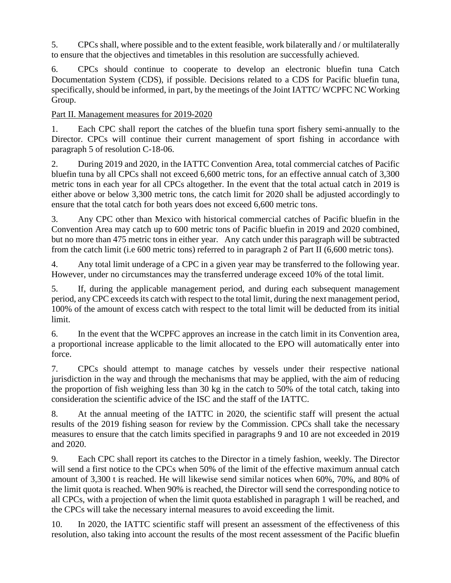5. CPCs shall, where possible and to the extent feasible, work bilaterally and / or multilaterally to ensure that the objectives and timetables in this resolution are successfully achieved.

6. CPCs should continue to cooperate to develop an electronic bluefin tuna Catch Documentation System (CDS), if possible. Decisions related to a CDS for Pacific bluefin tuna, specifically, should be informed, in part, by the meetings of the Joint IATTC/ WCPFC NC Working Group.

Part II. Management measures for 2019-2020

1. Each CPC shall report the catches of the bluefin tuna sport fishery semi-annually to the Director. CPCs will continue their current management of sport fishing in accordance with paragraph 5 of resolution C-18-06.

2. During 2019 and 2020, in the IATTC Convention Area, total commercial catches of Pacific bluefin tuna by all CPCs shall not exceed 6,600 metric tons, for an effective annual catch of 3,300 metric tons in each year for all CPCs altogether. In the event that the total actual catch in 2019 is either above or below 3,300 metric tons, the catch limit for 2020 shall be adjusted accordingly to ensure that the total catch for both years does not exceed 6,600 metric tons.

3. Any CPC other than Mexico with historical commercial catches of Pacific bluefin in the Convention Area may catch up to 600 metric tons of Pacific bluefin in 2019 and 2020 combined, but no more than 475 metric tons in either year. Any catch under this paragraph will be subtracted from the catch limit (i.e 600 metric tons) referred to in paragraph 2 of Part II (6,600 metric tons).

4. Any total limit underage of a CPC in a given year may be transferred to the following year. However, under no circumstances may the transferred underage exceed 10% of the total limit.

5. If, during the applicable management period, and during each subsequent management period, any CPC exceeds its catch with respect to the total limit, during the next management period, 100% of the amount of excess catch with respect to the total limit will be deducted from its initial limit.

6. In the event that the WCPFC approves an increase in the catch limit in its Convention area, a proportional increase applicable to the limit allocated to the EPO will automatically enter into force.

7. CPCs should attempt to manage catches by vessels under their respective national jurisdiction in the way and through the mechanisms that may be applied, with the aim of reducing the proportion of fish weighing less than 30 kg in the catch to 50% of the total catch, taking into consideration the scientific advice of the ISC and the staff of the IATTC.

8. At the annual meeting of the IATTC in 2020, the scientific staff will present the actual results of the 2019 fishing season for review by the Commission. CPCs shall take the necessary measures to ensure that the catch limits specified in paragraphs 9 and 10 are not exceeded in 2019 and 2020.

9. Each CPC shall report its catches to the Director in a timely fashion, weekly. The Director will send a first notice to the CPCs when 50% of the limit of the effective maximum annual catch amount of 3,300 t is reached. He will likewise send similar notices when 60%, 70%, and 80% of the limit quota is reached. When 90% is reached, the Director will send the corresponding notice to all CPCs, with a projection of when the limit quota established in paragraph 1 will be reached, and the CPCs will take the necessary internal measures to avoid exceeding the limit.

10. In 2020, the IATTC scientific staff will present an assessment of the effectiveness of this resolution, also taking into account the results of the most recent assessment of the Pacific bluefin